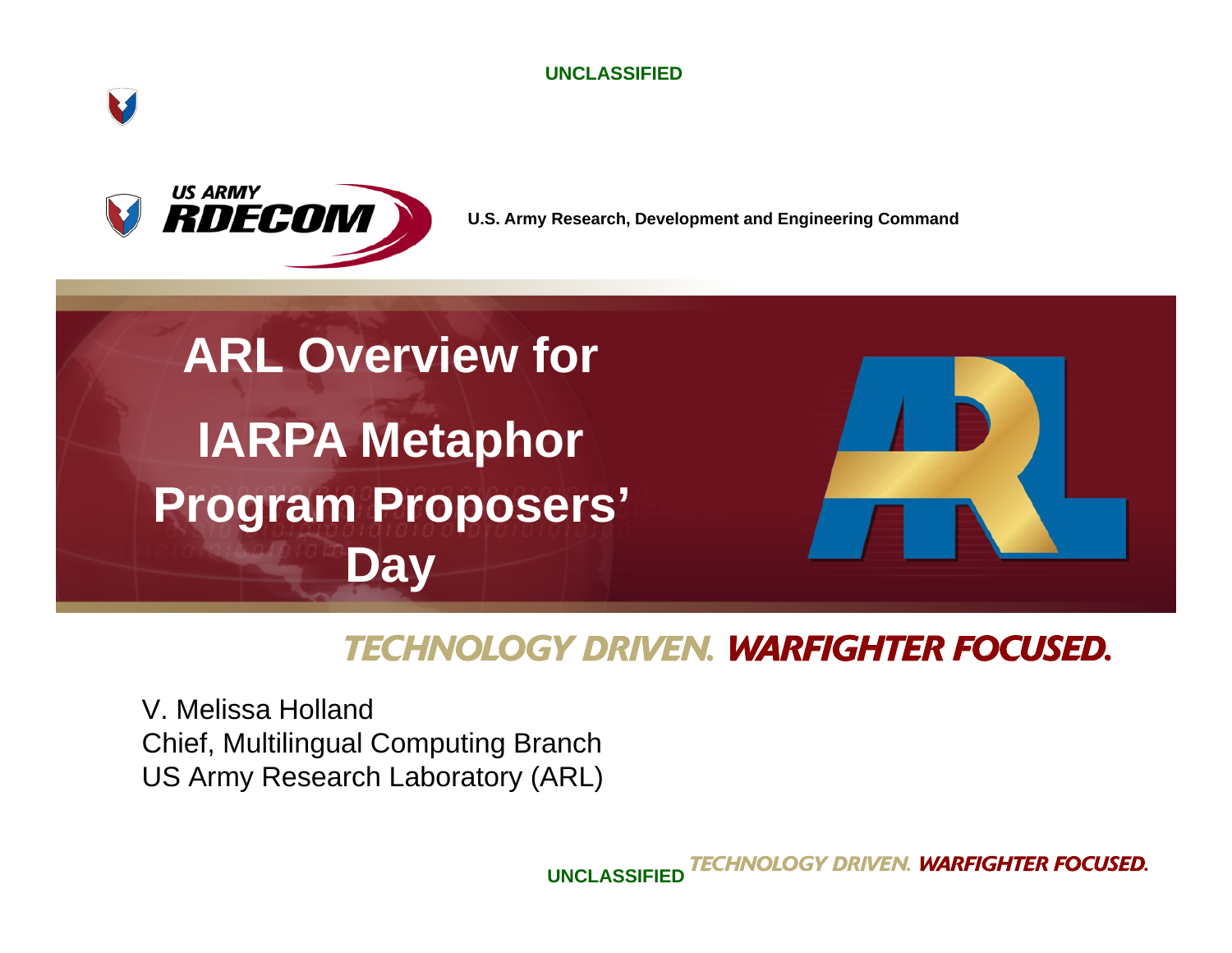

**UNCLASSIFIED**



**U.S. Army Research, Development and Engineering Command**



#### **TECHNOLOGY DRIVEN. WARFIGHTER FOCUSED.**

V. Melissa HollandChief, Multilingual Computing Branch US Army Research Laboratory (ARL)

> ECHNOLOGY DRI **WARFIGHTER FOCUSED. UNCLASSIFIED**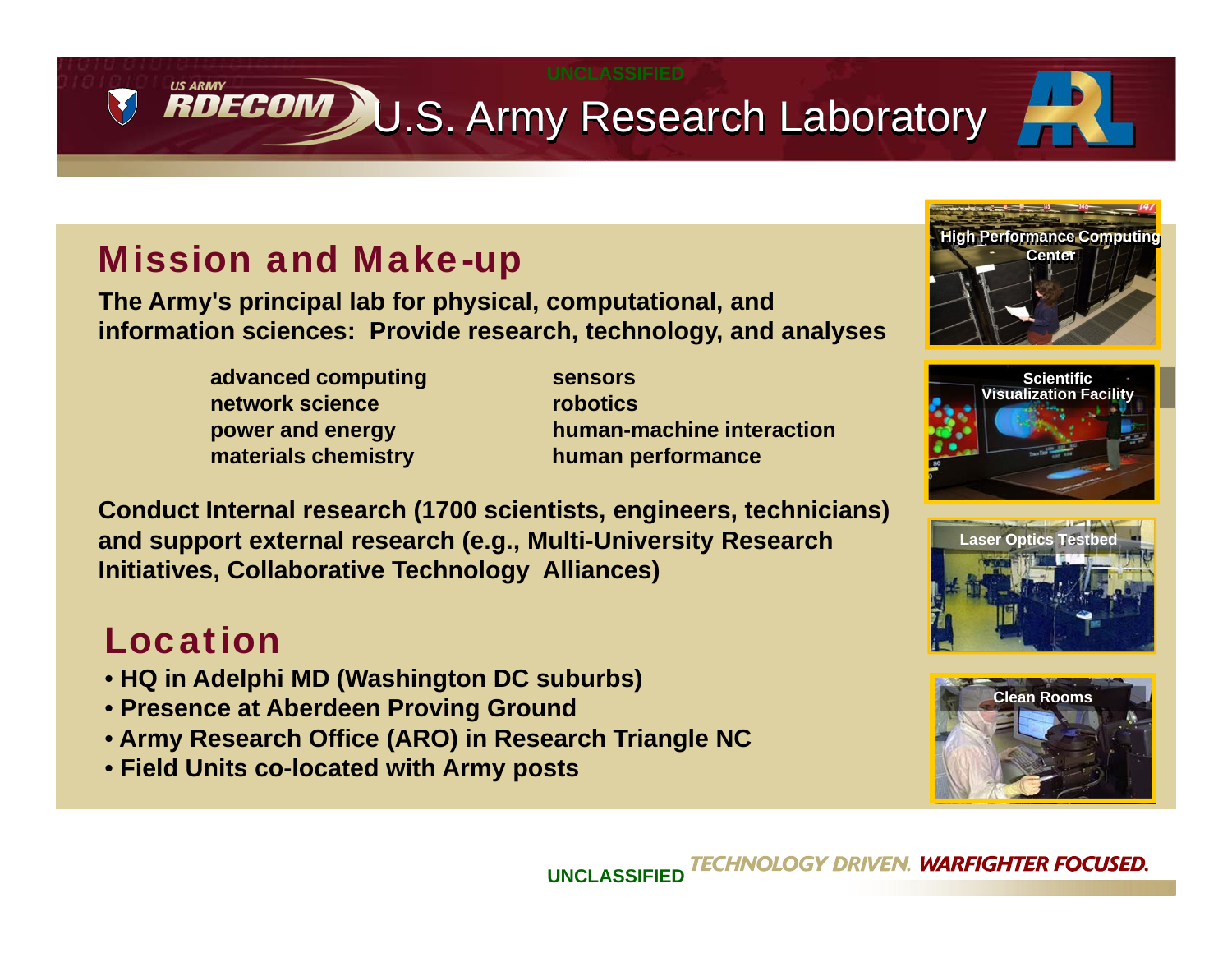U.S. Army Research Laboratory

### Mission and Make-up

**The Army's principal lab for physical, computational, and information sciences: Provide research, technology, and analyses**

- **advanced computing sensors network sciencematerials chemistry human performance**
- **robotics power and energy human-machine interaction**

**Conduct Internal research (1700 scientists, engineers, technicians) and support external research (e.g., Multi-University Research Initiatives, Collaborative Technology Alliances)**

## Location

- **HQ in Adelphi MD (Washington DC suburbs)**
- **Presence at Aberdeen Proving Ground**
- **Army Research Office (ARO) in Research Triangle NC**
- **Field Units co-located with Army posts**









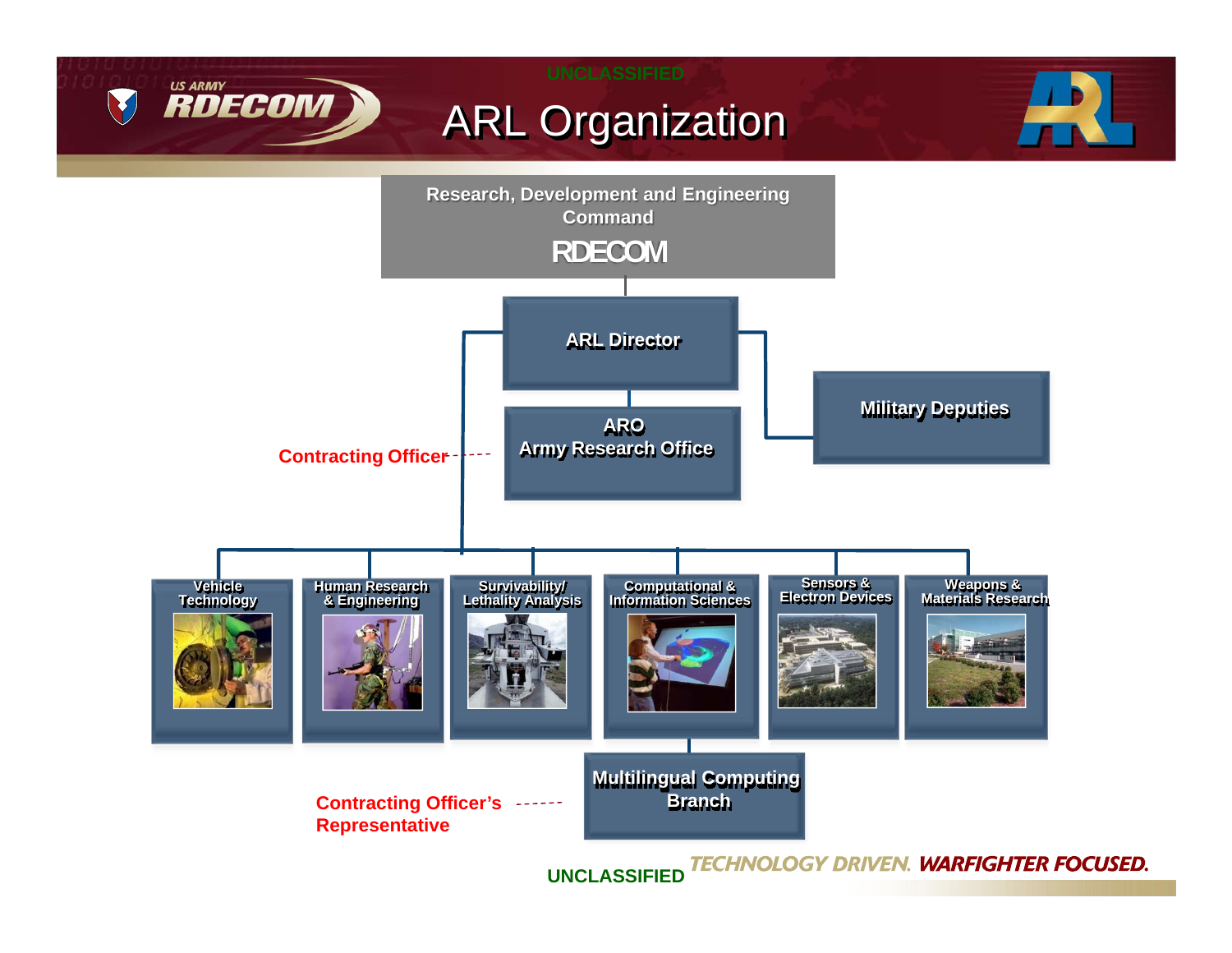

**UNCLASSIFIED**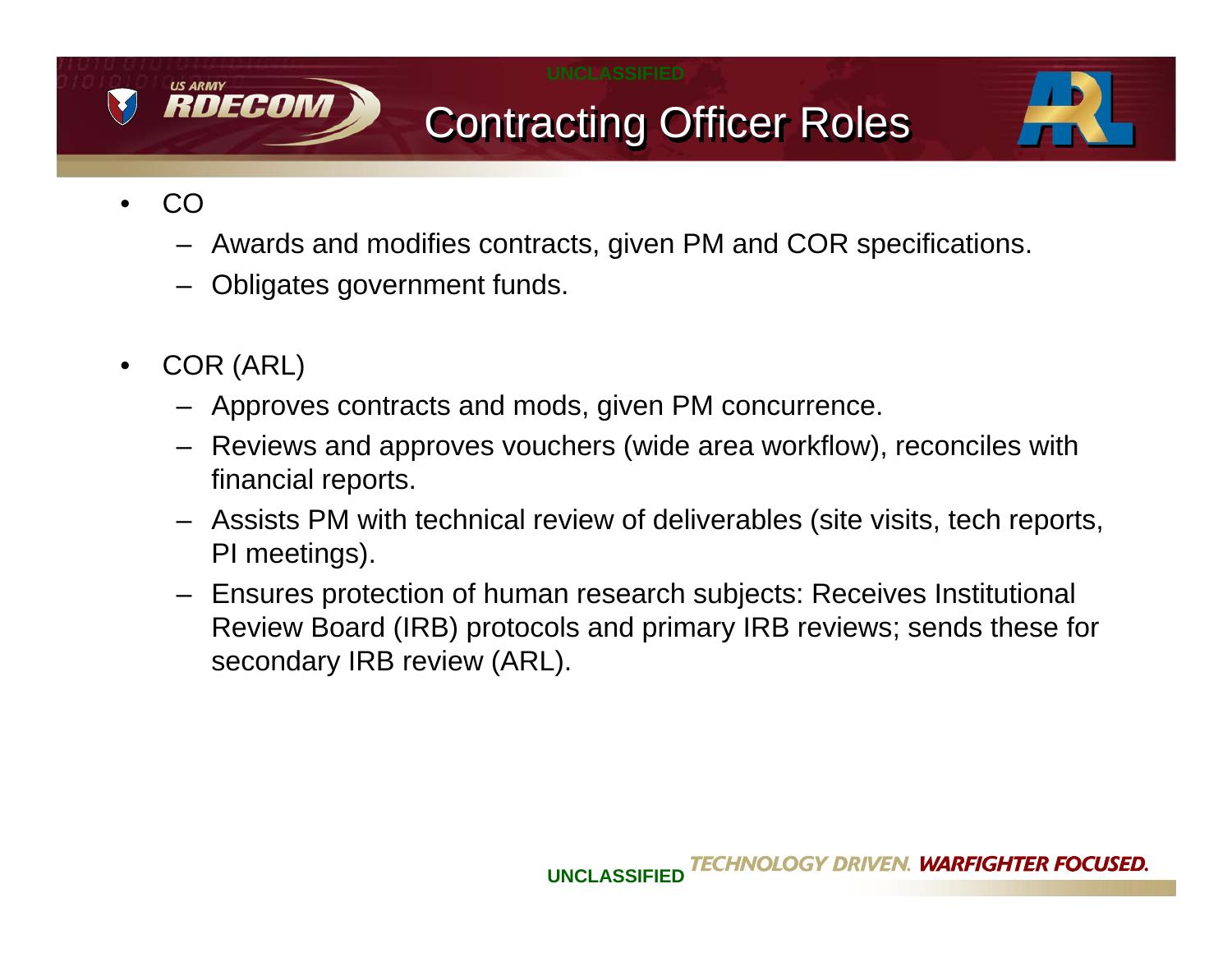

# Contracting Officer Roles



- • CO
	- Awards and modifies contracts, given PM and COR specifications.
	- Obligates government funds.
- $\bullet$  COR (ARL)
	- Approves contracts and mods, given PM concurrence.
	- Reviews and approves vouchers (wide area workflow), reconciles with financial reports.
	- Assists PM with technical review of deliverables (site visits, tech reports, PI meetings).
	- Ensures protection of human research subjects: Receives Institutional Review Board (IRB) protocols and primary IRB reviews; sends these for secondary IRB review (ARL).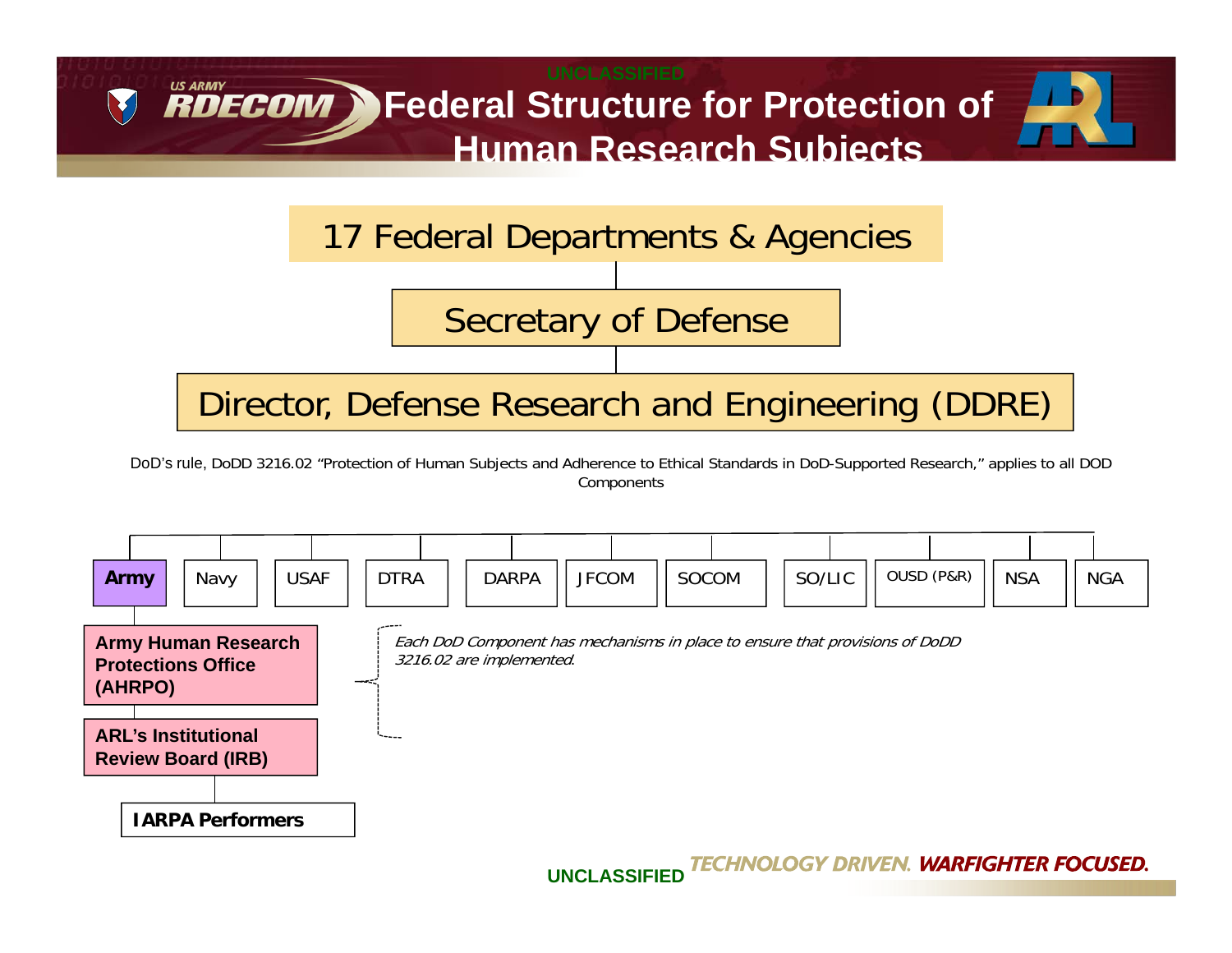

DoD's rule, DoDD 3216.02 "Protection of Human Subjects and Adherence to Ethical Standards in DoD-Supported Research," applies to all DOD Components



TECHNOLOGY DRIVEN. **WARFIGHTER FOCUSED. UNCLASSIFIED**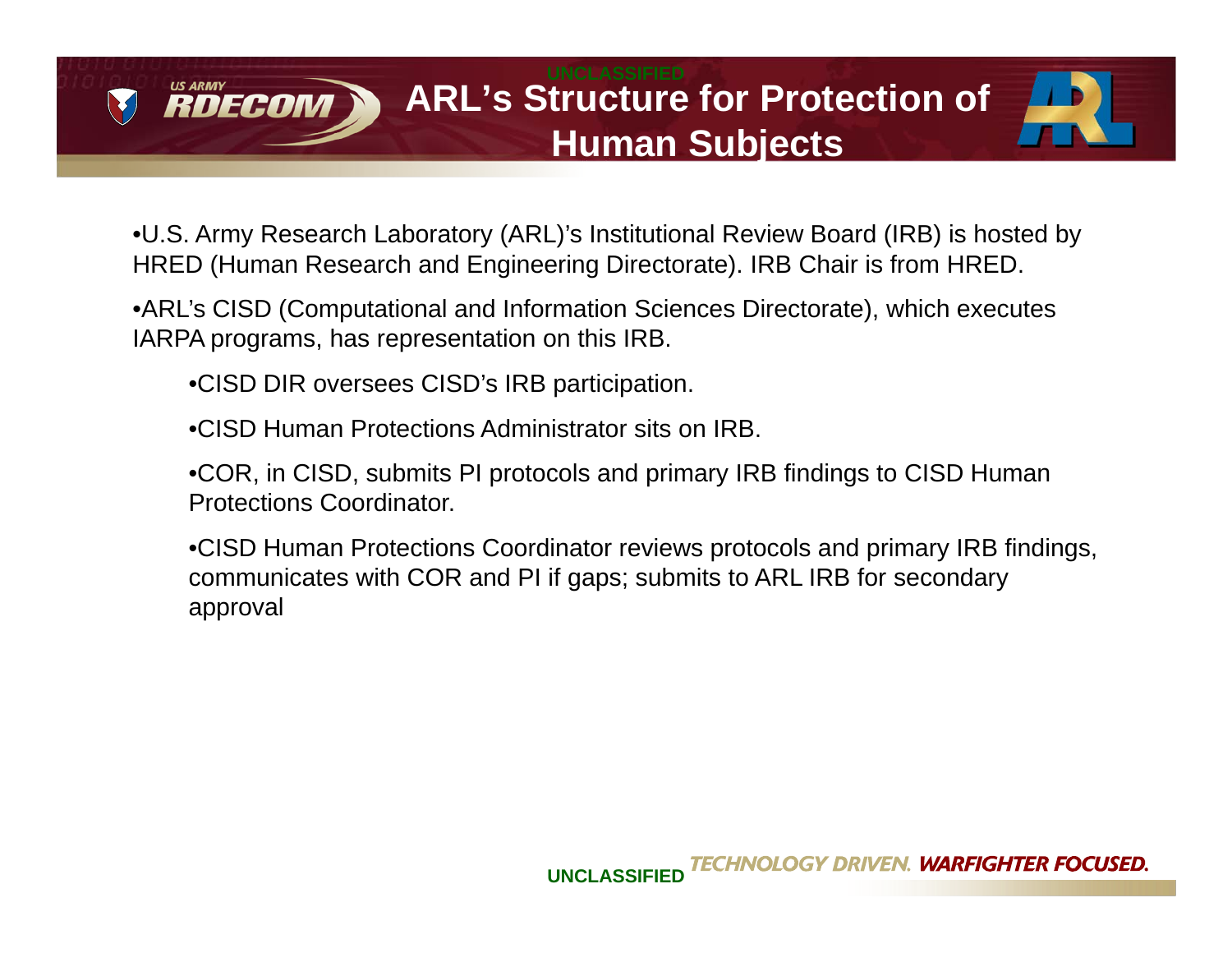



•U.S. Army Research Laboratory (ARL)'s Institutional Review Board (IRB) is hosted by HRED (Human Research and Engineering Directorate). IRB Chair is from HRED.

•ARL's CISD (Computational and Information Sciences Directorate), which executes IARPA programs, has representation on this IRB.

•CISD DIR oversees CISD's IRB participation.

RDECOM

•CISD Human Protections Administrator sits on IRB.

•COR, in CISD, submits PI protocols and primary IRB findings to CISD Human Protections Coordinator.

•CISD Human Protections Coordinator reviews protocols and primary IRB findings, communicates with COR and PI if gaps; submits to ARL IRB for secondary approval